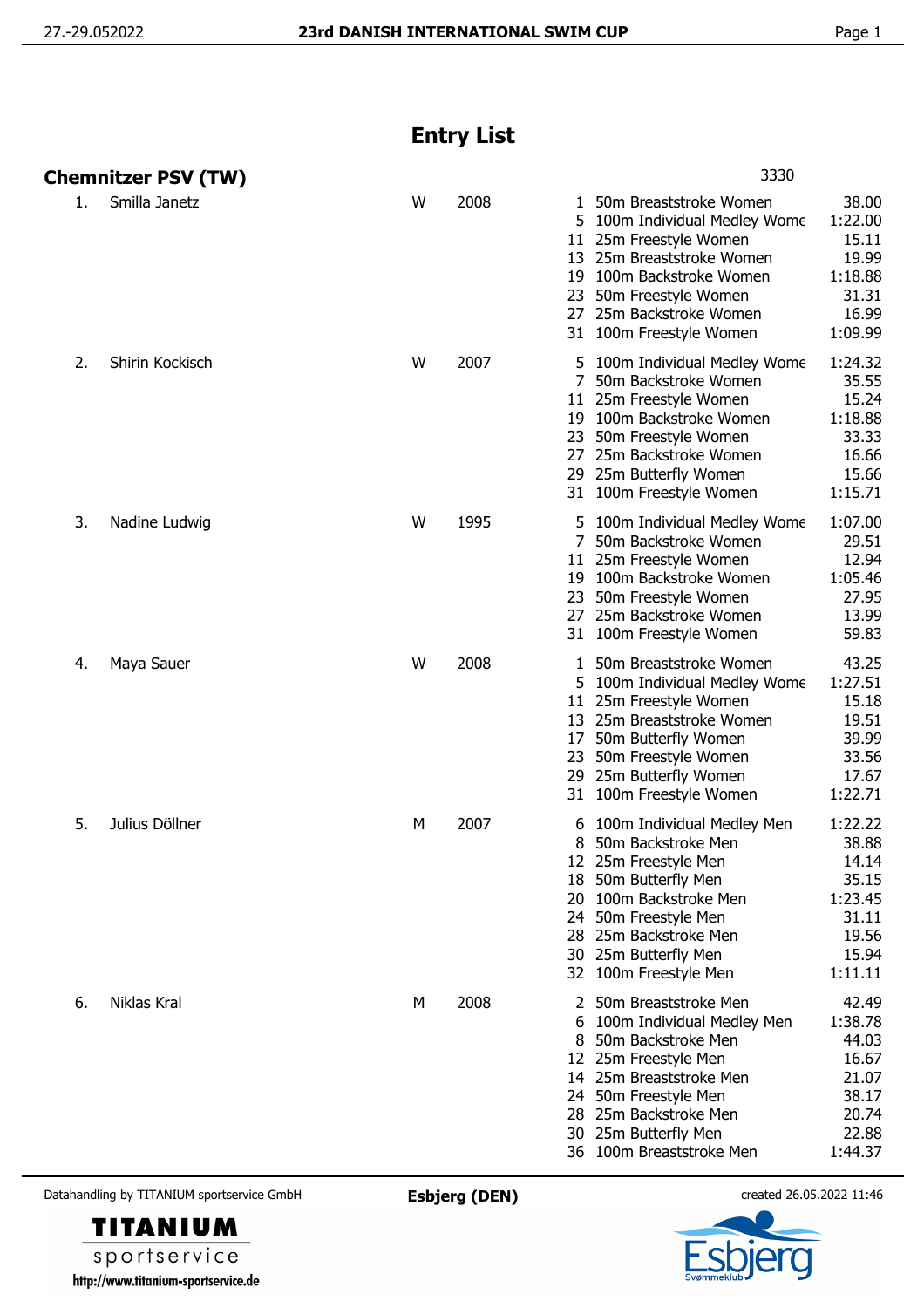## **Entry List**

|    | <b>Chemnitzer PSV (TW)</b> |   |      | 3330                                                                                                                                                                                                                                            |                                                                                     |
|----|----------------------------|---|------|-------------------------------------------------------------------------------------------------------------------------------------------------------------------------------------------------------------------------------------------------|-------------------------------------------------------------------------------------|
| 1. | Smilla Janetz              | W | 2008 | 50m Breaststroke Women<br>1<br>5<br>100m Individual Medley Wome<br>11 25m Freestyle Women<br>13 25m Breaststroke Women<br>100m Backstroke Women<br>19<br>50m Freestyle Women<br>23<br>25m Backstroke Women<br>27<br>31 100m Freestyle Women     | 38.00<br>1:22.00<br>15.11<br>19.99<br>1:18.88<br>31.31<br>16.99<br>1:09.99          |
| 2. | Shirin Kockisch            | W | 2007 | 5 100m Individual Medley Wome<br>7 50m Backstroke Women<br>11 25m Freestyle Women<br>19 100m Backstroke Women<br>23 50m Freestyle Women<br>27 25m Backstroke Women<br>29 25m Butterfly Women<br>31 100m Freestyle Women                         | 1:24.32<br>35.55<br>15.24<br>1:18.88<br>33.33<br>16.66<br>15.66<br>1:15.71          |
| 3. | Nadine Ludwig              | W | 1995 | 5 100m Individual Medley Wome<br>50m Backstroke Women<br>7<br>11 25m Freestyle Women<br>100m Backstroke Women<br>19<br>23 50m Freestyle Women<br>27 25m Backstroke Women<br>31 100m Freestyle Women                                             | 1:07.00<br>29.51<br>12.94<br>1:05.46<br>27.95<br>13.99<br>59.83                     |
| 4. | Maya Sauer                 | W | 2008 | 50m Breaststroke Women<br>1<br>5<br>100m Individual Medley Wome<br>25m Freestyle Women<br>11<br>13 25m Breaststroke Women<br>50m Butterfly Women<br>17<br>23<br>50m Freestyle Women<br>25m Butterfly Women<br>29<br>31 100m Freestyle Women     | 43.25<br>1:27.51<br>15.18<br>19.51<br>39.99<br>33.56<br>17.67<br>1:22.71            |
| 5. | Julius Döllner             | М | 2007 | 100m Individual Medley Men<br>6<br>50m Backstroke Men<br>8<br>12 25m Freestyle Men<br>18 50m Butterfly Men<br>100m Backstroke Men<br>20<br>50m Freestyle Men<br>24<br>25m Backstroke Men<br>28<br>30 25m Butterfly Men<br>32 100m Freestyle Men | 1:22.22<br>38.88<br>14.14<br>35.15<br>1:23.45<br>31.11<br>19.56<br>15.94<br>1:11.11 |
| 6. | Niklas Kral                | М | 2008 | 50m Breaststroke Men<br>100m Individual Medley Men<br>50m Backstroke Men<br>8<br>12 25m Freestyle Men<br>14 25m Breaststroke Men<br>24 50m Freestyle Men<br>28 25m Backstroke Men<br>30 25m Butterfly Men<br>36 100m Breaststroke Men           | 42.49<br>1:38.78<br>44.03<br>16.67<br>21.07<br>38.17<br>20.74<br>22.88<br>1:44.37   |

Datahandling by TITANIUM sportservice GmbH **Esbjerg (DEN)** created 26.05.2022 11:46